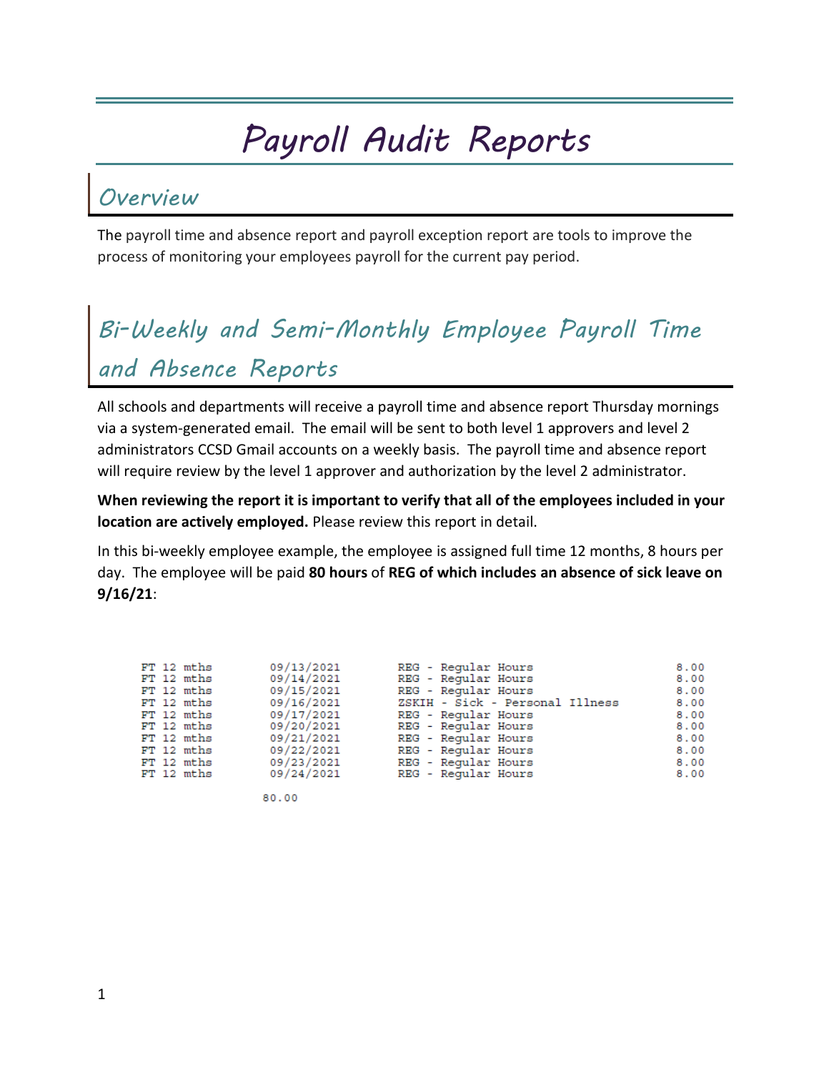# *Payroll Audit Reports*

#### *Overview*

The payroll time and absence report and payroll exception report are tools to improve the process of monitoring your employees payroll for the current pay period.

## *Bi-Weekly and Semi-Monthly Employee Payroll Time and Absence Reports*

All schools and departments will receive a payroll time and absence report Thursday mornings via a system-generated email. The email will be sent to both level 1 approvers and level 2 administrators CCSD Gmail accounts on a weekly basis. The payroll time and absence report will require review by the level 1 approver and authorization by the level 2 administrator.

**When reviewing the report it is important to verify that all of the employees included in your location are actively employed.** Please review this report in detail.

In this bi-weekly employee example, the employee is assigned full time 12 months, 8 hours per day. The employee will be paid **80 hours** of **REG of which includes an absence of sick leave on 9/16/21**:

|  | $FT 12$ mths | 09/13/2021 | REG - Reqular Hours             | 8.00 |
|--|--------------|------------|---------------------------------|------|
|  | FT 12 mths   | 09/14/2021 | REG - Regular Hours             | 8.00 |
|  | FT 12 mths   | 09/15/2021 | REG - Regular Hours             | 8.00 |
|  | $FT 12$ mths | 09/16/2021 | ZSKIH - Sick - Personal Illness | 8.00 |
|  | FT 12 mths   | 09/17/2021 | REG - Regular Hours             | 8,00 |
|  | FT 12 mths   | 09/20/2021 | REG - Regular Hours             | 8.00 |
|  | $FT 12$ mths | 09/21/2021 | REG - Regular Hours             | 8.00 |
|  | FT 12 mths   | 09/22/2021 | REG - Regular Hours             | 8.00 |
|  | FT 12 mths   | 09/23/2021 | REG - Regular Hours             | 8.00 |
|  | $FT 12$ mths | 09/24/2021 | REG - Regular Hours             | 8.00 |
|  |              |            |                                 |      |

80.00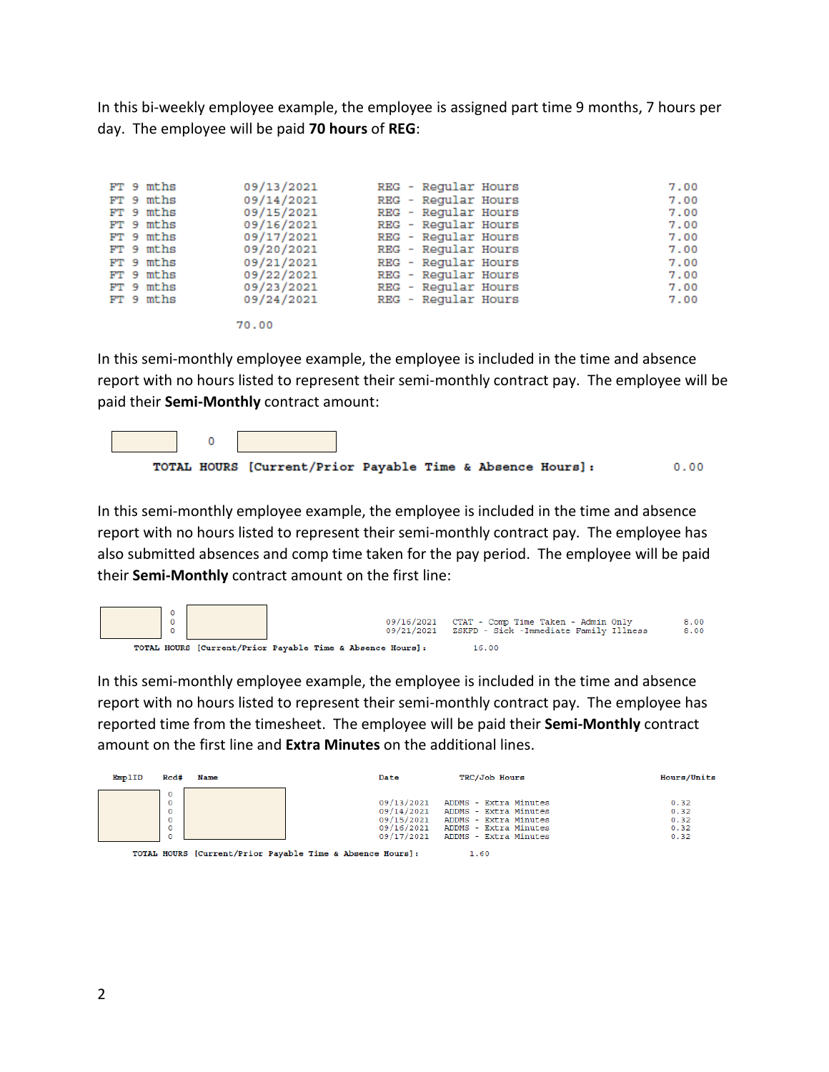In this bi-weekly employee example, the employee is assigned part time 9 months, 7 hours per day. The employee will be paid **70 hours** of **REG**:

70.00

In this semi-monthly employee example, the employee is included in the time and absence report with no hours listed to represent their semi-monthly contract pay. The employee will be paid their **Semi-Monthly** contract amount:



In this semi-monthly employee example, the employee is included in the time and absence report with no hours listed to represent their semi-monthly contract pay. The employee has also submitted absences and comp time taken for the pay period. The employee will be paid their **Semi-Monthly** contract amount on the first line:



In this semi-monthly employee example, the employee is included in the time and absence report with no hours listed to represent their semi-monthly contract pay. The employee has reported time from the timesheet. The employee will be paid their **Semi-Monthly** contract amount on the first line and **Extra Minutes** on the additional lines.

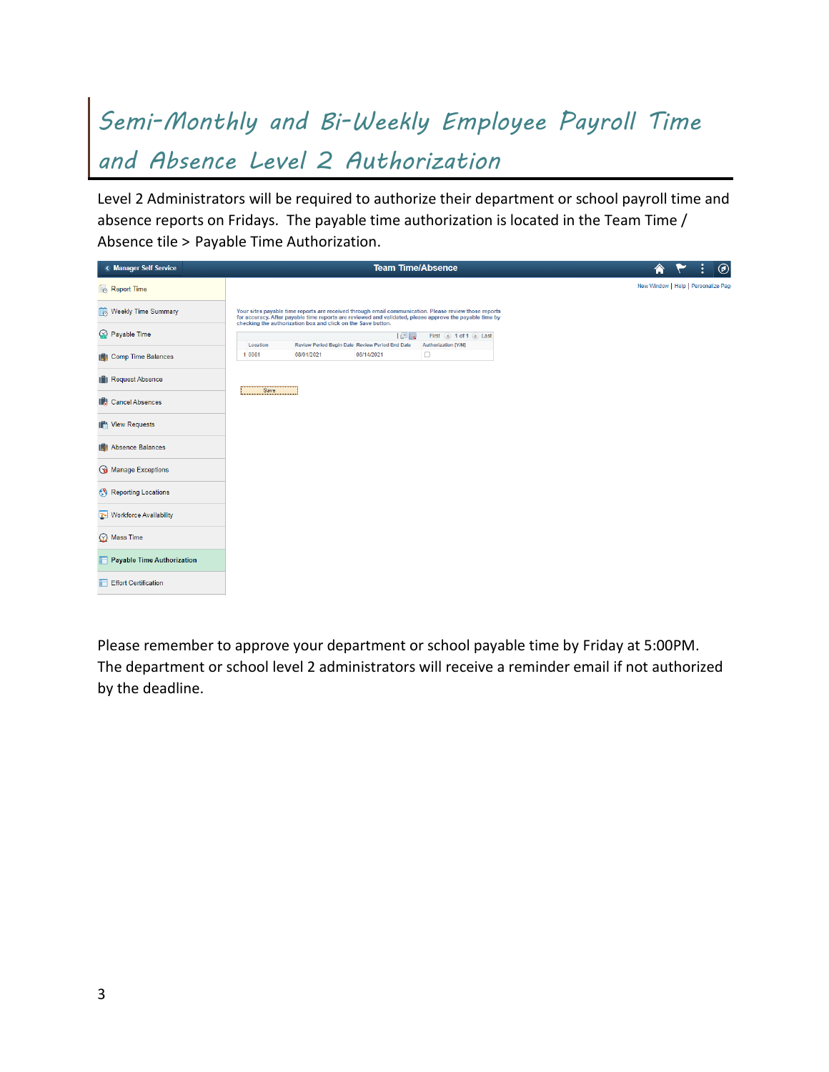### *Semi-Monthly and Bi-Weekly Employee Payroll Time and Absence Level 2 Authorization*

Level 2 Administrators will be required to authorize their department or school payroll time and absence reports on Fridays. The payable time authorization is located in the Team Time / Absence tile > Payable Time Authorization.

| < Manager Self Service       |          |                                                              | <b>Team Time/Absence</b>                              |                                                                                                                                                                                                                  |
|------------------------------|----------|--------------------------------------------------------------|-------------------------------------------------------|------------------------------------------------------------------------------------------------------------------------------------------------------------------------------------------------------------------|
| Report Time                  |          |                                                              |                                                       |                                                                                                                                                                                                                  |
| Weekly Time Summary          |          | checking the authorization box and click on the Save button. |                                                       | Your sites payable time reports are received through email communication. Please review those reports<br>for accuracy. After payable time reports are reviewed and validated, please approve the payable time by |
| ◯ Payable Time               | Location |                                                              | 回国<br>Review Period Begin Date Review Period End Date | First 4 1 of 1 1 Last<br>Authorization [Y/N]                                                                                                                                                                     |
| <b>ID</b> Comp Time Balances | 1 0061   | 08/01/2021                                                   | 08/14/2021                                            | $\Box$                                                                                                                                                                                                           |
| <b>In Request Absence</b>    |          |                                                              |                                                       |                                                                                                                                                                                                                  |
| <b>ID</b> Cancel Absences    | Save     |                                                              |                                                       |                                                                                                                                                                                                                  |
| IN View Requests             |          |                                                              |                                                       |                                                                                                                                                                                                                  |
| <b>ID</b> Absence Balances   |          |                                                              |                                                       |                                                                                                                                                                                                                  |
| Manage Exceptions            |          |                                                              |                                                       |                                                                                                                                                                                                                  |
| Reporting Locations          |          |                                                              |                                                       |                                                                                                                                                                                                                  |
| Workforce Availability       |          |                                                              |                                                       |                                                                                                                                                                                                                  |
| Mass Time                    |          |                                                              |                                                       |                                                                                                                                                                                                                  |
| Payable Time Authorization   |          |                                                              |                                                       |                                                                                                                                                                                                                  |
| Effort Certification         |          |                                                              |                                                       |                                                                                                                                                                                                                  |

Please remember to approve your department or school payable time by Friday at 5:00PM. The department or school level 2 administrators will receive a reminder email if not authorized by the deadline.